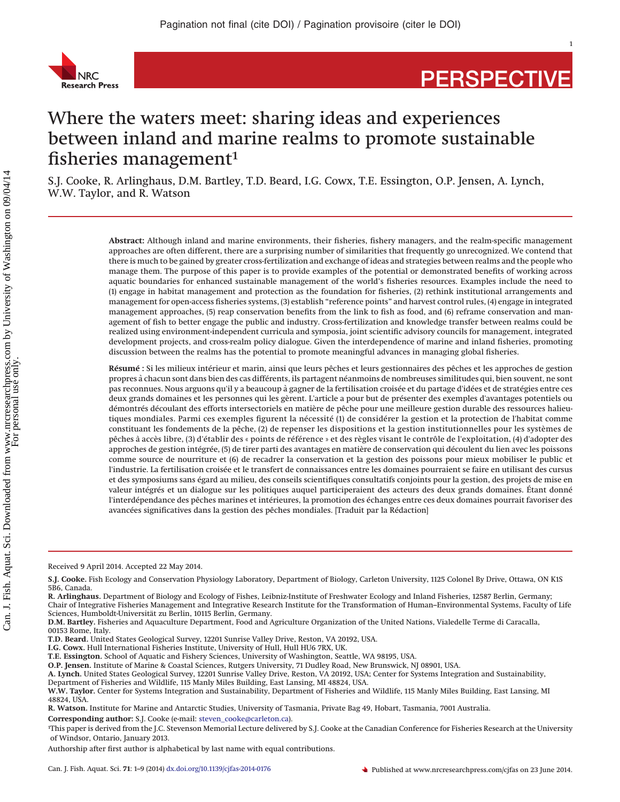

# **PERSPECTIVE**

## Where the waters meet: sharing ideas and experiences between inland and marine realms to promote sustainable fisheries management $1$

S.J. Cooke, R. Arlinghaus, D.M. Bartley, T.D. Beard, I.G. Cowx, T.E. Essington, O.P. Jensen, A. Lynch, W.W. Taylor, and R. Watson

> **Abstract:** Although inland and marine environments, their fisheries, fishery managers, and the realm-specific management approaches are often different, there are a surprising number of similarities that frequently go unrecognized. We contend that there is much to be gained by greater cross-fertilization and exchange of ideas and strategies between realms and the people who manage them. The purpose of this paper is to provide examples of the potential or demonstrated benefits of working across aquatic boundaries for enhanced sustainable management of the world's fisheries resources. Examples include the need to (1) engage in habitat management and protection as the foundation for fisheries, (2) rethink institutional arrangements and management for open-access fisheries systems, (3) establish "reference points" and harvest control rules, (4) engage in integrated management approaches, (5) reap conservation benefits from the link to fish as food, and (6) reframe conservation and management of fish to better engage the public and industry. Cross-fertilization and knowledge transfer between realms could be realized using environment-independent curricula and symposia, joint scientific advisory councils for management, integrated development projects, and cross-realm policy dialogue. Given the interdependence of marine and inland fisheries, promoting discussion between the realms has the potential to promote meaningful advances in managing global fisheries.

> **Résumé :** Si les milieux intérieur et marin, ainsi que leurs pêches et leurs gestionnaires des pêches et les approches de gestion propres a` chacun sont dans bien des cas différents, ils partagent néanmoins de nombreuses similitudes qui, bien souvent, ne sont pas reconnues. Nous arguons qu'il y a beaucoup à gagner de la fertilisation croisée et du partage d'idées et de stratégies entre ces deux grands domaines et les personnes qui les gèrent. L'article a pour but de présenter des exemples d'avantages potentiels ou démontrés découlant des efforts intersectoriels en matière de pêche pour une meilleure gestion durable des ressources halieutiques mondiales. Parmi ces exemples figurent la nécessité (1) de considérer la gestion et la protection de l'habitat comme constituant les fondements de la pêche, (2) de repenser les dispositions et la gestion institutionnelles pour les systèmes de pêches a` accès libre, (3) d'établir des « points de référence » et des règles visant le contrôle de l'exploitation, (4) d'adopter des approches de gestion intégrée, (5) de tirer parti des avantages en matière de conservation qui découlent du lien avec les poissons comme source de nourriture et (6) de recadrer la conservation et la gestion des poissons pour mieux mobiliser le public et l'industrie. La fertilisation croisée et le transfert de connaissances entre les domaines pourraient se faire en utilisant des cursus et des symposiums sans égard au milieu, des conseils scientifiques consultatifs conjoints pour la gestion, des projets de mise en valeur intégrés et un dialogue sur les politiques auquel participeraient des acteurs des deux grands domaines. Étant donné l'interdépendance des pêches marines et intérieures, la promotion des échanges entre ces deux domaines pourrait favoriser des avancées significatives dans la gestion des pêches mondiales. [Traduit par la Rédaction]

Received 9 April 2014. Accepted 22 May 2014.

**S.J. Cooke.** Fish Ecology and Conservation Physiology Laboratory, Department of Biology, Carleton University, 1125 Colonel By Drive, Ottawa, ON K1S 5B6, Canada.

**R. Arlinghaus.** Department of Biology and Ecology of Fishes, Leibniz-Institute of Freshwater Ecology and Inland Fisheries, 12587 Berlin, Germany; Chair of Integrative Fisheries Management and Integrative Research Institute for the Transformation of Human–Environmental Systems, Faculty of Life Sciences, Humboldt-Universität zu Berlin, 10115 Berlin, Germany.

**D.M. Bartley.** Fisheries and Aquaculture Department, Food and Agriculture Organization of the United Nations, Vialedelle Terme di Caracalla, 00153 Rome, Italy.

**T.D. Beard.** United States Geological Survey, 12201 Sunrise Valley Drive, Reston, VA 20192, USA.

**I.G. Cowx.** Hull International Fisheries Institute, University of Hull, Hull HU6 7RX, UK.

**T.E. Essington.** School of Aquatic and Fishery Sciences, University of Washington, Seattle, WA 98195, USA.

**O.P. Jensen.** Institute of Marine & Coastal Sciences, Rutgers University, 71 Dudley Road, New Brunswick, NJ 08901, USA.

**A. Lynch.** United States Geological Survey, 12201 Sunrise Valley Drive, Reston, VA 20192, USA; Center for Systems Integration and Sustainability,

Department of Fisheries and Wildlife, 115 Manly Miles Building, East Lansing, MI 48824, USA. **W.W. Taylor.** Center for Systems Integration and Sustainability, Department of Fisheries and Wildlife, 115 Manly Miles Building, East Lansing, MI 48824, USA.

**R. Watson.** Institute for Marine and Antarctic Studies, University of Tasmania, Private Bag 49, Hobart, Tasmania, 7001 Australia.

**Corresponding author:** S.J. Cooke (e-mail: [steven\\_cooke@carleton.ca\)](mailto:steven_cooke@carleton.ca).

<sup>1</sup> This paper is derived from the J.C. Stevenson Memorial Lecture delivered by S.J. Cooke at the Canadian Conference for Fisheries Research at the University of Windsor, Ontario, January 2013.

Authorship after first author is alphabetical by last name with equal contributions.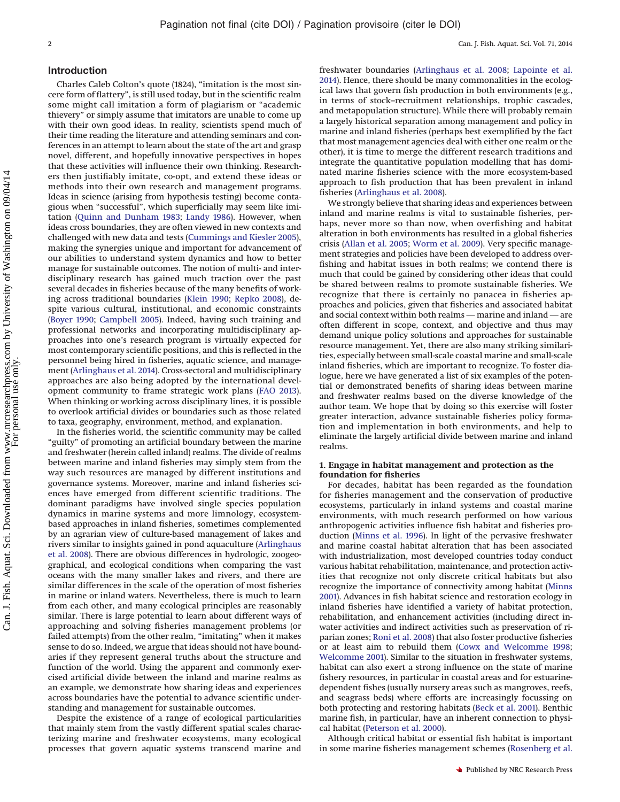#### **Introduction**

Charles Caleb Colton's quote (1824), "imitation is the most sincere form of flattery", is still used today, but in the scientific realm some might call imitation a form of plagiarism or "academic thievery" or simply assume that imitators are unable to come up with their own good ideas. In reality, scientists spend much of their time reading the literature and attending seminars and conferences in an attempt to learn about the state of the art and grasp novel, different, and hopefully innovative perspectives in hopes that these activities will influence their own thinking. Researchers then justifiably imitate, co-opt, and extend these ideas or methods into their own research and management programs. Ideas in science (arising from hypothesis testing) become contagious when "successful", which superficially may seem like imitation [\(Quinn and Dunham 1983;](#page-7-0) [Landy 1986\)](#page-7-1). However, when ideas cross boundaries, they are often viewed in new contexts and challenged with new data and tests [\(Cummings and Kiesler 2005\)](#page-6-0), making the synergies unique and important for advancement of our abilities to understand system dynamics and how to better manage for sustainable outcomes. The notion of multi- and interdisciplinary research has gained much traction over the past several decades in fisheries because of the many benefits of working across traditional boundaries [\(Klein 1990;](#page-7-2) [Repko 2008\)](#page-7-3), despite various cultural, institutional, and economic constraints [\(Boyer 1990;](#page-6-1) [Campbell 2005\)](#page-6-2). Indeed, having such training and professional networks and incorporating multidisciplinary approaches into one's research program is virtually expected for most contemporary scientific positions, and this is reflected in the personnel being hired in fisheries, aquatic science, and management [\(Arlinghaus et al. 2014\)](#page-6-3). Cross-sectoral and multidisciplinary approaches are also being adopted by the international development community to frame strategic work plans [\(FAO 2013\)](#page-6-4). When thinking or working across disciplinary lines, it is possible to overlook artificial divides or boundaries such as those related to taxa, geography, environment, method, and explanation.

In the fisheries world, the scientific community may be called "guilty" of promoting an artificial boundary between the marine and freshwater (herein called inland) realms. The divide of realms between marine and inland fisheries may simply stem from the way such resources are managed by different institutions and governance systems. Moreover, marine and inland fisheries sciences have emerged from different scientific traditions. The dominant paradigms have involved single species population dynamics in marine systems and more limnology, ecosystembased approaches in inland fisheries, sometimes complemented by an agrarian view of culture-based management of lakes and rivers similar to insights gained in pond aquaculture [\(Arlinghaus](#page-6-5) [et al. 2008\)](#page-6-5). There are obvious differences in hydrologic, zoogeographical, and ecological conditions when comparing the vast oceans with the many smaller lakes and rivers, and there are similar differences in the scale of the operation of most fisheries in marine or inland waters. Nevertheless, there is much to learn from each other, and many ecological principles are reasonably similar. There is large potential to learn about different ways of approaching and solving fisheries management problems (or failed attempts) from the other realm, "imitating" when it makes sense to do so. Indeed, we argue that ideas should not have boundaries if they represent general truths about the structure and function of the world. Using the apparent and commonly exercised artificial divide between the inland and marine realms as an example, we demonstrate how sharing ideas and experiences across boundaries have the potential to advance scientific understanding and management for sustainable outcomes.

Despite the existence of a range of ecological particularities that mainly stem from the vastly different spatial scales characterizing marine and freshwater ecosystems, many ecological processes that govern aquatic systems transcend marine and freshwater boundaries [\(Arlinghaus et al. 2008;](#page-6-5) [Lapointe et al.](#page-7-4) [2014\)](#page-7-4). Hence, there should be many commonalities in the ecological laws that govern fish production in both environments (e.g., in terms of stock–recruitment relationships, trophic cascades, and metapopulation structure). While there will probably remain a largely historical separation among management and policy in marine and inland fisheries (perhaps best exemplified by the fact that most management agencies deal with either one realm or the other), it is time to merge the different research traditions and integrate the quantitative population modelling that has dominated marine fisheries science with the more ecosystem-based approach to fish production that has been prevalent in inland fisheries [\(Arlinghaus et al. 2008\)](#page-6-5).

We strongly believe that sharing ideas and experiences between inland and marine realms is vital to sustainable fisheries, perhaps, never more so than now, when overfishing and habitat alteration in both environments has resulted in a global fisheries crisis [\(Allan et al. 2005;](#page-5-0) [Worm et al. 2009\)](#page-8-0). Very specific management strategies and policies have been developed to address overfishing and habitat issues in both realms; we contend there is much that could be gained by considering other ideas that could be shared between realms to promote sustainable fisheries. We recognize that there is certainly no panacea in fisheries approaches and policies, given that fisheries and associated habitat and social context within both realms — marine and inland — are often different in scope, context, and objective and thus may demand unique policy solutions and approaches for sustainable resource management. Yet, there are also many striking similarities, especially between small-scale coastal marine and small-scale inland fisheries, which are important to recognize. To foster dialogue, here we have generated a list of six examples of the potential or demonstrated benefits of sharing ideas between marine and freshwater realms based on the diverse knowledge of the author team. We hope that by doing so this exercise will foster greater interaction, advance sustainable fisheries policy formation and implementation in both environments, and help to eliminate the largely artificial divide between marine and inland realms.

#### **1. Engage in habitat management and protection as the foundation for fisheries**

For decades, habitat has been regarded as the foundation for fisheries management and the conservation of productive ecosystems, particularly in inland systems and coastal marine environments, with much research performed on how various anthropogenic activities influence fish habitat and fisheries production [\(Minns et al. 1996\)](#page-7-5). In light of the pervasive freshwater and marine coastal habitat alteration that has been associated with industrialization, most developed countries today conduct various habitat rehabilitation, maintenance, and protection activities that recognize not only discrete critical habitats but also recognize the importance of connectivity among habitat [\(Minns](#page-7-6) [2001\)](#page-7-6). Advances in fish habitat science and restoration ecology in inland fisheries have identified a variety of habitat protection, rehabilitation, and enhancement activities (including direct inwater activities and indirect activities such as preservation of riparian zones; [Roni et al. 2008\)](#page-7-7) that also foster productive fisheries or at least aim to rebuild them [\(Cowx and Welcomme 1998;](#page-6-6) [Welcomme 2001\)](#page-7-8). Similar to the situation in freshwater systems, habitat can also exert a strong influence on the state of marine fishery resources, in particular in coastal areas and for estuarinedependent fishes (usually nursery areas such as mangroves, reefs, and seagrass beds) where efforts are increasingly focussing on both protecting and restoring habitats [\(Beck et al. 2001\)](#page-6-7). Benthic marine fish, in particular, have an inherent connection to physical habitat [\(Peterson et al. 2000\)](#page-7-9).

Although critical habitat or essential fish habitat is important in some marine fisheries management schemes [\(Rosenberg et al.](#page-7-10)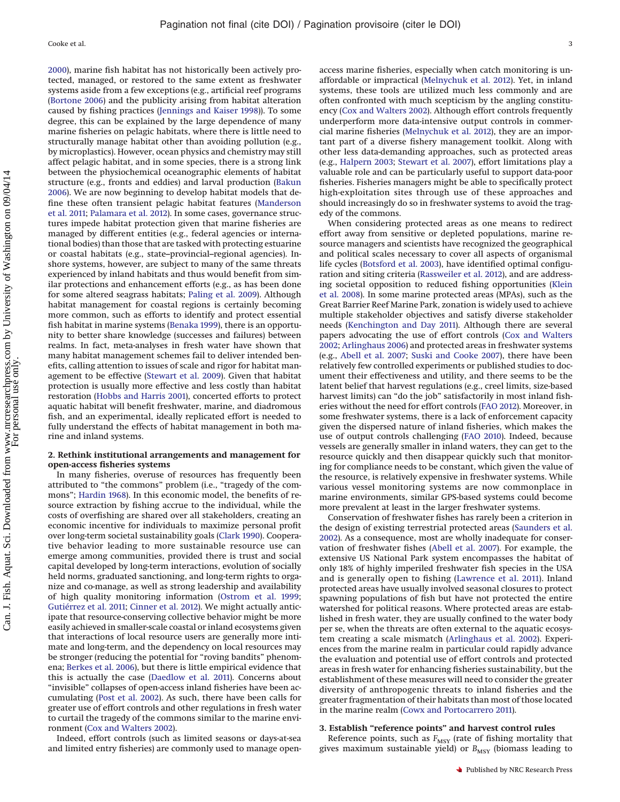[2000\)](#page-7-10), marine fish habitat has not historically been actively protected, managed, or restored to the same extent as freshwater systems aside from a few exceptions (e.g., artificial reef programs [\(Bortone 2006\)](#page-6-8) and the publicity arising from habitat alteration caused by fishing practices [\(Jennings and Kaiser 1998\)](#page-7-11)). To some degree, this can be explained by the large dependence of many marine fisheries on pelagic habitats, where there is little need to structurally manage habitat other than avoiding pollution (e.g., by microplastics). However, ocean physics and chemistry may still affect pelagic habitat, and in some species, there is a strong link between the physiochemical oceanographic elements of habitat structure (e.g., fronts and eddies) and larval production [\(Bakun](#page-6-9) [2006\)](#page-6-9). We are now beginning to develop habitat models that define these often transient pelagic habitat features [\(Manderson](#page-7-12) [et al. 2011;](#page-7-12) [Palamara et al. 2012\)](#page-7-13). In some cases, governance structures impede habitat protection given that marine fisheries are managed by different entities (e.g., federal agencies or international bodies) than those that are tasked with protecting estuarine or coastal habitats (e.g., state–provincial–regional agencies). Inshore systems, however, are subject to many of the same threats experienced by inland habitats and thus would benefit from similar protections and enhancement efforts (e.g., as has been done for some altered seagrass habitats; [Paling et al. 2009\)](#page-7-14). Although habitat management for coastal regions is certainly becoming more common, such as efforts to identify and protect essential fish habitat in marine systems [\(Benaka 1999\)](#page-6-10), there is an opportunity to better share knowledge (successes and failures) between realms. In fact, meta-analyses in fresh water have shown that many habitat management schemes fail to deliver intended benefits, calling attention to issues of scale and rigor for habitat management to be effective [\(Stewart et al. 2009\)](#page-7-15). Given that habitat protection is usually more effective and less costly than habitat restoration [\(Hobbs and Harris 2001\)](#page-7-16), concerted efforts to protect aquatic habitat will benefit freshwater, marine, and diadromous fish, and an experimental, ideally replicated effort is needed to fully understand the effects of habitat management in both marine and inland systems.

#### **2. Rethink institutional arrangements and management for open-access fisheries systems**

In many fisheries, overuse of resources has frequently been attributed to "the commons" problem (i.e., "tragedy of the commons"; [Hardin 1968\)](#page-7-17). In this economic model, the benefits of resource extraction by fishing accrue to the individual, while the costs of overfishing are shared over all stakeholders, creating an economic incentive for individuals to maximize personal profit over long-term societal sustainability goals [\(Clark 1990\)](#page-6-11). Cooperative behavior leading to more sustainable resource use can emerge among communities, provided there is trust and social capital developed by long-term interactions, evolution of socially held norms, graduated sanctioning, and long-term rights to organize and co-manage, as well as strong leadership and availability of high quality monitoring information [\(Ostrom et al. 1999;](#page-7-18) [Gutiérrez et al. 2011;](#page-6-12) [Cinner et al. 2012\)](#page-6-13). We might actually anticipate that resource-conserving collective behavior might be more easily achieved in smaller-scale coastal or inland ecosystems given that interactions of local resource users are generally more intimate and long-term, and the dependency on local resources may be stronger (reducing the potential for "roving bandits" phenomena; [Berkes et al. 2006\)](#page-6-14), but there is little empirical evidence that this is actually the case [\(Daedlow et al. 2011\)](#page-6-15). Concerns about "invisible" collapses of open-access inland fisheries have been accumulating [\(Post et al. 2002\)](#page-7-19). As such, there have been calls for greater use of effort controls and other regulations in fresh water to curtail the tragedy of the commons similar to the marine environment [\(Cox and Walters 2002\)](#page-6-16).

Indeed, effort controls (such as limited seasons or days-at-sea and limited entry fisheries) are commonly used to manage openaccess marine fisheries, especially when catch monitoring is unaffordable or impractical [\(Melnychuk et al. 2012\)](#page-7-20). Yet, in inland systems, these tools are utilized much less commonly and are often confronted with much scepticism by the angling constituency [\(Cox and Walters 2002\)](#page-6-16). Although effort controls frequently underperform more data-intensive output controls in commercial marine fisheries [\(Melnychuk et al. 2012\)](#page-7-20), they are an important part of a diverse fishery management toolkit. Along with other less data-demanding approaches, such as protected areas (e.g., [Halpern 2003;](#page-6-17) [Stewart et al. 2007\)](#page-7-21), effort limitations play a valuable role and can be particularly useful to support data-poor fisheries. Fisheries managers might be able to specifically protect high-exploitation sites through use of these approaches and should increasingly do so in freshwater systems to avoid the tragedy of the commons.

When considering protected areas as one means to redirect effort away from sensitive or depleted populations, marine resource managers and scientists have recognized the geographical and political scales necessary to cover all aspects of organismal life cycles [\(Botsford et al. 2003\)](#page-6-18), have identified optimal configuration and siting criteria [\(Rassweiler et al. 2012\)](#page-7-22), and are addressing societal opposition to reduced fishing opportunities [\(Klein](#page-7-23) [et al. 2008\)](#page-7-23). In some marine protected areas (MPAs), such as the Great Barrier Reef Marine Park, zonation is widely used to achieve multiple stakeholder objectives and satisfy diverse stakeholder needs [\(Kenchington and Day 2011\)](#page-7-24). Although there are several papers advocating the use of effort controls [\(Cox and Walters](#page-6-16) [2002;](#page-6-16) [Arlinghaus 2006\)](#page-6-19) and protected areas in freshwater systems (e.g., [Abell et al. 2007;](#page-5-1) [Suski and Cooke 2007\)](#page-7-25), there have been relatively few controlled experiments or published studies to document their effectiveness and utility, and there seems to be the latent belief that harvest regulations (e.g., creel limits, size-based harvest limits) can "do the job" satisfactorily in most inland fisheries without the need for effort controls [\(FAO 2012\)](#page-6-20). Moreover, in some freshwater systems, there is a lack of enforcement capacity given the dispersed nature of inland fisheries, which makes the use of output controls challenging [\(FAO 2010\)](#page-6-21). Indeed, because vessels are generally smaller in inland waters, they can get to the resource quickly and then disappear quickly such that monitoring for compliance needs to be constant, which given the value of the resource, is relatively expensive in freshwater systems. While various vessel monitoring systems are now commonplace in marine environments, similar GPS-based systems could become more prevalent at least in the larger freshwater systems.

Conservation of freshwater fishes has rarely been a criterion in the design of existing terrestrial protected areas [\(Saunders et al.](#page-7-26) [2002\)](#page-7-26). As a consequence, most are wholly inadequate for conservation of freshwater fishes [\(Abell et al. 2007\)](#page-5-1). For example, the extensive US National Park system encompasses the habitat of only 18% of highly imperiled freshwater fish species in the USA and is generally open to fishing [\(Lawrence et al. 2011\)](#page-7-27). Inland protected areas have usually involved seasonal closures to protect spawning populations of fish but have not protected the entire watershed for political reasons. Where protected areas are established in fresh water, they are usually confined to the water body per se, when the threats are often external to the aquatic ecosystem creating a scale mismatch [\(Arlinghaus et al. 2002\)](#page-6-22). Experiences from the marine realm in particular could rapidly advance the evaluation and potential use of effort controls and protected areas in fresh water for enhancing fisheries sustainability, but the establishment of these measures will need to consider the greater diversity of anthropogenic threats to inland fisheries and the greater fragmentation of their habitats than most of those located in the marine realm [\(Cowx and Portocarrero 2011\)](#page-6-23).

### **3. Establish "reference points" and harvest control rules**

Reference points, such as  $F_{\rm MSY}$  (rate of fishing mortality that gives maximum sustainable yield) or *B<sub>MSY</sub>* (biomass leading to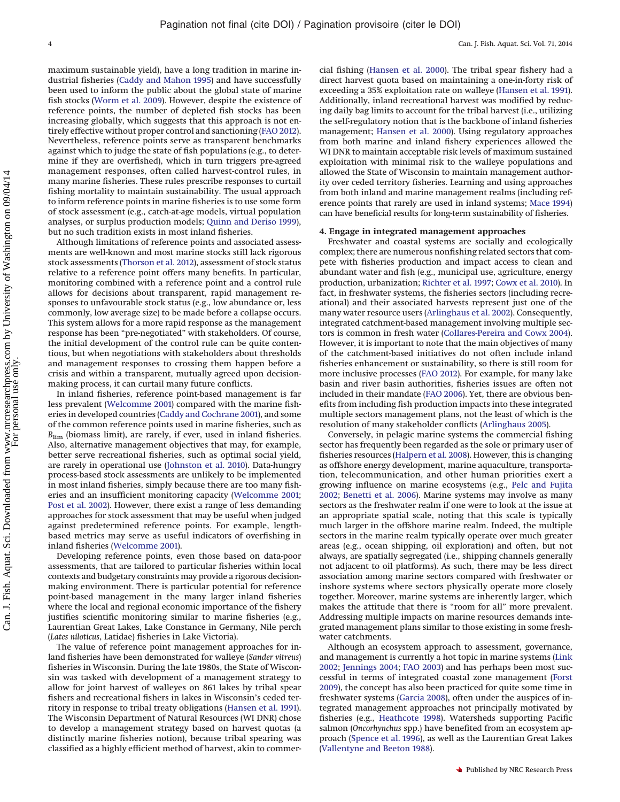maximum sustainable yield), have a long tradition in marine industrial fisheries [\(Caddy and Mahon 1995\)](#page-6-24) and have successfully been used to inform the public about the global state of marine fish stocks [\(Worm et al. 2009\)](#page-8-0). However, despite the existence of reference points, the number of depleted fish stocks has been increasing globally, which suggests that this approach is not entirely effective without proper control and sanctioning [\(FAO 2012\)](#page-6-20). Nevertheless, reference points serve as transparent benchmarks against which to judge the state of fish populations (e.g., to determine if they are overfished), which in turn triggers pre-agreed management responses, often called harvest-control rules, in many marine fisheries. These rules prescribe responses to curtail fishing mortality to maintain sustainability. The usual approach to inform reference points in marine fisheries is to use some form of stock assessment (e.g., catch-at-age models, virtual population analyses, or surplus production models; [Quinn and Deriso 1999\)](#page-7-28), but no such tradition exists in most inland fisheries.

Although limitations of reference points and associated assessments are well-known and most marine stocks still lack rigorous stock assessments [\(Thorson et al. 2012\)](#page-7-29), assessment of stock status relative to a reference point offers many benefits. In particular, monitoring combined with a reference point and a control rule allows for decisions about transparent, rapid management responses to unfavourable stock status (e.g., low abundance or, less commonly, low average size) to be made before a collapse occurs. This system allows for a more rapid response as the management response has been "pre-negotiated" with stakeholders. Of course, the initial development of the control rule can be quite contentious, but when negotiations with stakeholders about thresholds and management responses to crossing them happen before a crisis and within a transparent, mutually agreed upon decisionmaking process, it can curtail many future conflicts.

In inland fisheries, reference point-based management is far less prevalent [\(Welcomme 2001\)](#page-7-8) compared with the marine fisheries in developed countries [\(Caddy and Cochrane 2001\)](#page-6-25), and some of the common reference points used in marine fisheries, such as *B*<sub>lim</sub> (biomass limit), are rarely, if ever, used in inland fisheries. Also, alternative management objectives that may, for example, better serve recreational fisheries, such as optimal social yield, are rarely in operational use [\(Johnston et al. 2010\)](#page-7-30). Data-hungry process-based stock assessments are unlikely to be implemented in most inland fisheries, simply because there are too many fisheries and an insufficient monitoring capacity [\(Welcomme 2001;](#page-7-8) [Post et al. 2002\)](#page-7-19). However, there exist a range of less demanding approaches for stock assessment that may be useful when judged against predetermined reference points. For example, lengthbased metrics may serve as useful indicators of overfishing in inland fisheries [\(Welcomme 2001\)](#page-7-8).

Developing reference points, even those based on data-poor assessments, that are tailored to particular fisheries within local contexts and budgetary constraints may provide a rigorous decisionmaking environment. There is particular potential for reference point-based management in the many larger inland fisheries where the local and regional economic importance of the fishery justifies scientific monitoring similar to marine fisheries (e.g., Laurentian Great Lakes, Lake Constance in Germany, Nile perch (*Lates niloticus*, Latidae) fisheries in Lake Victoria).

The value of reference point management approaches for inland fisheries have been demonstrated for walleye (*Sander vitreus*) fisheries in Wisconsin. During the late 1980s, the State of Wisconsin was tasked with development of a management strategy to allow for joint harvest of walleyes on 861 lakes by tribal spear fishers and recreational fishers in lakes in Wisconsin's ceded territory in response to tribal treaty obligations [\(Hansen et al. 1991\)](#page-7-31). The Wisconsin Department of Natural Resources (WI DNR) chose to develop a management strategy based on harvest quotas (a distinctly marine fisheries notion), because tribal spearing was classified as a highly efficient method of harvest, akin to commer-

cial fishing [\(Hansen et al. 2000\)](#page-7-32). The tribal spear fishery had a direct harvest quota based on maintaining a one-in-forty risk of exceeding a 35% exploitation rate on walleye [\(Hansen et al. 1991\)](#page-7-31). Additionally, inland recreational harvest was modified by reducing daily bag limits to account for the tribal harvest (i.e., utilizing the self-regulatory notion that is the backbone of inland fisheries management; [Hansen et al. 2000\)](#page-7-32). Using regulatory approaches from both marine and inland fishery experiences allowed the WI DNR to maintain acceptable risk levels of maximum sustained exploitation with minimal risk to the walleye populations and allowed the State of Wisconsin to maintain management authority over ceded territory fisheries. Learning and using approaches from both inland and marine management realms (including reference points that rarely are used in inland systems; [Mace 1994\)](#page-7-33) can have beneficial results for long-term sustainability of fisheries.

#### **4. Engage in integrated management approaches**

Freshwater and coastal systems are socially and ecologically complex; there are numerous nonfishing related sectors that compete with fisheries production and impact access to clean and abundant water and fish (e.g., municipal use, agriculture, energy production, urbanization; [Richter et al. 1997;](#page-7-34) [Cowx et al. 2010\)](#page-6-26). In fact, in freshwater systems, the fisheries sectors (including recreational) and their associated harvests represent just one of the many water resource users [\(Arlinghaus et al. 2002\)](#page-6-22). Consequently, integrated catchment-based management involving multiple sectors is common in fresh water [\(Collares-Pereira and Cowx 2004\)](#page-6-27). However, it is important to note that the main objectives of many of the catchment-based initiatives do not often include inland fisheries enhancement or sustainability, so there is still room for more inclusive processes [\(FAO 2012\)](#page-6-20). For example, for many lake basin and river basin authorities, fisheries issues are often not included in their mandate [\(FAO 2006\)](#page-6-28). Yet, there are obvious benefits from including fish production impacts into these integrated multiple sectors management plans, not the least of which is the resolution of many stakeholder conflicts [\(Arlinghaus 2005\)](#page-5-2).

Conversely, in pelagic marine systems the commercial fishing sector has frequently been regarded as the sole or primary user of fisheries resources [\(Halpern et al. 2008\)](#page-7-35). However, this is changing as offshore energy development, marine aquaculture, transportation, telecommunication, and other human priorities exert a growing influence on marine ecosystems (e.g., [Pelc and Fujita](#page-7-36) [2002;](#page-7-36) [Benetti et al. 2006\)](#page-6-29). Marine systems may involve as many sectors as the freshwater realm if one were to look at the issue at an appropriate spatial scale, noting that this scale is typically much larger in the offshore marine realm. Indeed, the multiple sectors in the marine realm typically operate over much greater areas (e.g., ocean shipping, oil exploration) and often, but not always, are spatially segregated (i.e., shipping channels generally not adjacent to oil platforms). As such, there may be less direct association among marine sectors compared with freshwater or inshore systems where sectors physically operate more closely together. Moreover, marine systems are inherently larger, which makes the attitude that there is "room for all" more prevalent. Addressing multiple impacts on marine resources demands integrated management plans similar to those existing in some freshwater catchments.

Although an ecosystem approach to assessment, governance, and management is currently a hot topic in marine systems [\(Link](#page-7-37) [2002;](#page-7-37) [Jennings 2004;](#page-7-38) [FAO 2003\)](#page-6-30) and has perhaps been most successful in terms of integrated coastal zone management [\(Forst](#page-6-31) [2009\)](#page-6-31), the concept has also been practiced for quite some time in freshwater systems [\(Garcia 2008\)](#page-6-32), often under the auspices of integrated management approaches not principally motivated by fisheries (e.g., [Heathcote 1998\)](#page-7-39). Watersheds supporting Pacific salmon (*Oncorhynchus* spp.) have benefited from an ecosystem approach [\(Spence et al. 1996\)](#page-7-40), as well as the Laurentian Great Lakes [\(Vallentyne and Beeton 1988\)](#page-7-41).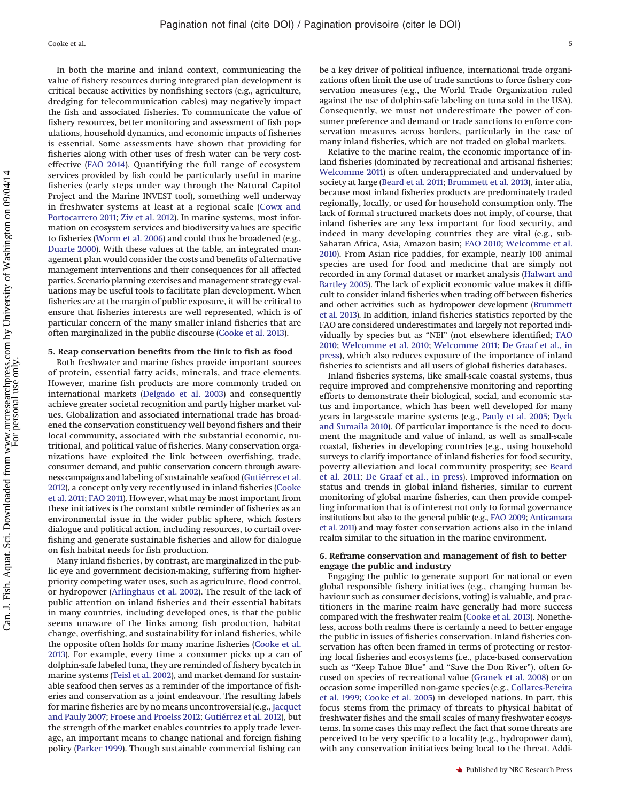Cooke et al. 5

In both the marine and inland context, communicating the value of fishery resources during integrated plan development is critical because activities by nonfishing sectors (e.g., agriculture, dredging for telecommunication cables) may negatively impact the fish and associated fisheries. To communicate the value of fishery resources, better monitoring and assessment of fish populations, household dynamics, and economic impacts of fisheries is essential. Some assessments have shown that providing for fisheries along with other uses of fresh water can be very costeffective [\(FAO 2014\)](#page-6-33). Quantifying the full range of ecosystem services provided by fish could be particularly useful in marine fisheries (early steps under way through the Natural Capitol Project and the Marine INVEST tool), something well underway in freshwater systems at least at a regional scale [\(Cowx and](#page-6-23) [Portocarrero 2011;](#page-6-23) [Ziv et al. 2012\)](#page-8-1). In marine systems, most information on ecosystem services and biodiversity values are specific to fisheries [\(Worm et al. 2006\)](#page-7-42) and could thus be broadened (e.g., [Duarte 2000\)](#page-6-34). With these values at the table, an integrated management plan would consider the costs and benefits of alternative management interventions and their consequences for all affected parties. Scenario planning exercises and management strategy evaluations may be useful tools to facilitate plan development. When fisheries are at the margin of public exposure, it will be critical to ensure that fisheries interests are well represented, which is of particular concern of the many smaller inland fisheries that are often marginalized in the public discourse [\(Cooke et al. 2013\)](#page-6-35).

#### **5. Reap conservation benefits from the link to fish as food**

Both freshwater and marine fishes provide important sources of protein, essential fatty acids, minerals, and trace elements. However, marine fish products are more commonly traded on international markets [\(Delgado et al. 2003\)](#page-6-36) and consequently achieve greater societal recognition and partly higher market values. Globalization and associated international trade has broadened the conservation constituency well beyond fishers and their local community, associated with the substantial economic, nutritional, and political value of fisheries. Many conservation organizations have exploited the link between overfishing, trade, consumer demand, and public conservation concern through awareness campaigns and labeling of sustainable seafood [\(Gutiérrez et al.](#page-6-37) [2012\)](#page-6-37), a concept only very recently used in inland fisheries [\(Cooke](#page-6-38) [et al. 2011;](#page-6-38) [FAO 2011\)](#page-6-39). However, what may be most important from these initiatives is the constant subtle reminder of fisheries as an environmental issue in the wider public sphere, which fosters dialogue and political action, including resources, to curtail overfishing and generate sustainable fisheries and allow for dialogue on fish habitat needs for fish production.

Many inland fisheries, by contrast, are marginalized in the public eye and government decision-making, suffering from higherpriority competing water uses, such as agriculture, flood control, or hydropower [\(Arlinghaus et al. 2002\)](#page-6-22). The result of the lack of public attention on inland fisheries and their essential habitats in many countries, including developed ones, is that the public seems unaware of the links among fish production, habitat change, overfishing, and sustainability for inland fisheries, while the opposite often holds for many marine fisheries [\(Cooke et al.](#page-6-35) [2013\)](#page-6-35). For example, every time a consumer picks up a can of dolphin-safe labeled tuna, they are reminded of fishery bycatch in marine systems [\(Teisl et al. 2002\)](#page-7-43), and market demand for sustainable seafood then serves as a reminder of the importance of fisheries and conservation as a joint endeavour. The resulting labels for marine fisheries are by no means uncontroversial (e.g., [Jacquet](#page-7-44) [and Pauly 2007;](#page-7-44) [Froese and Proelss 2012;](#page-6-40) [Gutiérrez et al. 2012\)](#page-6-37), but the strength of the market enables countries to apply trade leverage, an important means to change national and foreign fishing policy [\(Parker 1999\)](#page-7-45). Though sustainable commercial fishing can

be a key driver of political influence, international trade organizations often limit the use of trade sanctions to force fishery conservation measures (e.g., the World Trade Organization ruled against the use of dolphin-safe labeling on tuna sold in the USA). Consequently, we must not underestimate the power of consumer preference and demand or trade sanctions to enforce conservation measures across borders, particularly in the case of many inland fisheries, which are not traded on global markets.

Relative to the marine realm, the economic importance of inland fisheries (dominated by recreational and artisanal fisheries; [Welcomme 2011\)](#page-7-46) is often underappreciated and undervalued by society at large [\(Beard et al. 2011;](#page-6-41) [Brummett et al. 2013\)](#page-6-42), inter alia, because most inland fisheries products are predominately traded regionally, locally, or used for household consumption only. The lack of formal structured markets does not imply, of course, that inland fisheries are any less important for food security, and indeed in many developing countries they are vital (e.g., sub-Saharan Africa, Asia, Amazon basin; [FAO 2010;](#page-6-21) [Welcomme et al.](#page-7-47) [2010\)](#page-7-47). From Asian rice paddies, for example, nearly 100 animal species are used for food and medicine that are simply not recorded in any formal dataset or market analysis [\(Halwart and](#page-7-48) [Bartley 2005\)](#page-7-48). The lack of explicit economic value makes it difficult to consider inland fisheries when trading off between fisheries and other activities such as hydropower development [\(Brummett](#page-6-42) [et al. 2013\)](#page-6-42). In addition, inland fisheries statistics reported by the FAO are considered underestimates and largely not reported individually by species but as "NEI" (not elsewhere identified; [FAO](#page-6-21) [2010;](#page-6-21) [Welcomme et al. 2010;](#page-7-47) [Welcomme 2011;](#page-7-46) [De Graaf et al., in](#page-6-43) [press\)](#page-6-43), which also reduces exposure of the importance of inland fisheries to scientists and all users of global fisheries databases.

Inland fisheries systems, like small-scale coastal systems, thus require improved and comprehensive monitoring and reporting efforts to demonstrate their biological, social, and economic status and importance, which has been well developed for many years in large-scale marine systems (e.g., [Pauly et al. 2005;](#page-7-49) [Dyck](#page-6-44) [and Sumaila 2010\)](#page-6-44). Of particular importance is the need to document the magnitude and value of inland, as well as small-scale coastal, fisheries in developing countries (e.g., using household surveys to clarify importance of inland fisheries for food security, poverty alleviation and local community prosperity; see [Beard](#page-6-41) [et al. 2011;](#page-6-41) [De Graaf et al., in](#page-6-43) press). Improved information on status and trends in global inland fisheries, similar to current monitoring of global marine fisheries, can then provide compelling information that is of interest not only to formal governance institutions but also to the general public (e.g., [FAO 2009;](#page-6-45) [Anticamara](#page-5-3) [et al. 2011\)](#page-5-3) and may foster conservation actions also in the inland realm similar to the situation in the marine environment.

#### **6. Reframe conservation and management of fish to better engage the public and industry**

Engaging the public to generate support for national or even global responsible fishery initiatives (e.g., changing human behaviour such as consumer decisions, voting) is valuable, and practitioners in the marine realm have generally had more success compared with the freshwater realm [\(Cooke et al. 2013\)](#page-6-35). Nonetheless, across both realms there is certainly a need to better engage the public in issues of fisheries conservation. Inland fisheries conservation has often been framed in terms of protecting or restoring local fisheries and ecosystems (i.e., place-based conservation such as "Keep Tahoe Blue" and "Save the Don River"), often focused on species of recreational value [\(Granek et al. 2008\)](#page-6-46) or on occasion some imperilled non-game species (e.g., [Collares-Pereira](#page-6-47) [et al. 1999;](#page-6-47) [Cooke et al. 2005\)](#page-6-48) in developed nations. In part, this focus stems from the primacy of threats to physical habitat of freshwater fishes and the small scales of many freshwater ecosystems. In some cases this may reflect the fact that some threats are perceived to be very specific to a locality (e.g., hydropower dam), with any conservation initiatives being local to the threat. Addi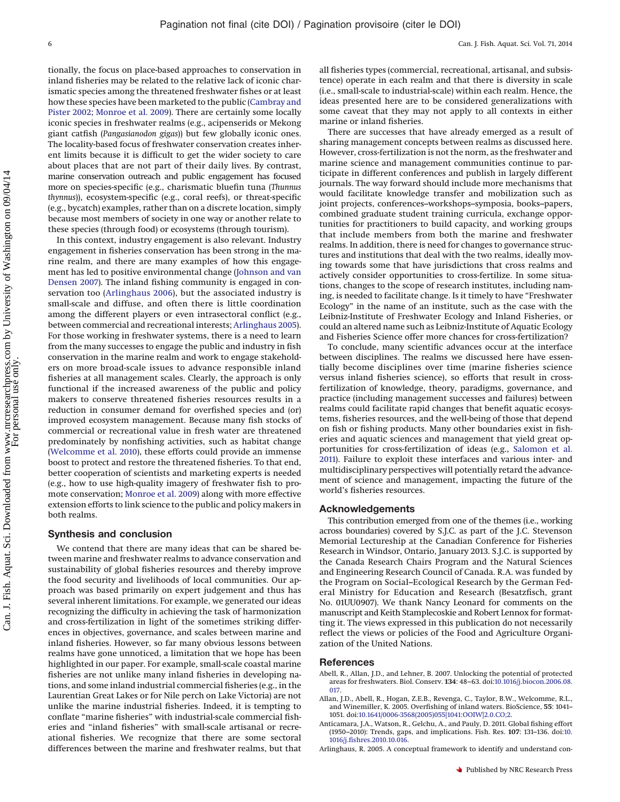Can. J. Fish. Aquat. Sci. Downloaded from www.nrcresearchpress.com by University of Washington on 09/04/14 Can. J. Fish. Aquat. Sci. Downloaded from www.nrcresearchpress.com by University of Washington on 09/04/14 For personal use only.

tionally, the focus on place-based approaches to conservation in inland fisheries may be related to the relative lack of iconic charismatic species among the threatened freshwater fishes or at least how these species have been marketed to the public [\(Cambray and](#page-6-49) [Pister 2002;](#page-6-49) [Monroe et al. 2009\)](#page-7-50). There are certainly some locally iconic species in freshwater realms (e.g., acipenserids or Mekong giant catfish (*Pangasianodon gigas*)) but few globally iconic ones. The locality-based focus of freshwater conservation creates inherent limits because it is difficult to get the wider society to care about places that are not part of their daily lives. By contrast, marine conservation outreach and public engagement has focused more on species-specific (e.g., charismatic bluefin tuna (*Thunnus thynnus*)), ecosystem-specific (e.g., coral reefs), or threat-specific (e.g., bycatch) examples, rather than on a discrete location, simply because most members of society in one way or another relate to these species (through food) or ecosystems (through tourism).

In this context, industry engagement is also relevant. Industry engagement in fisheries conservation has been strong in the marine realm, and there are many examples of how this engagement has led to positive environmental change [\(Johnson and van](#page-7-51) [Densen 2007\)](#page-7-51). The inland fishing community is engaged in conservation too [\(Arlinghaus 2006\)](#page-6-19), but the associated industry is small-scale and diffuse, and often there is little coordination among the different players or even intrasectoral conflict (e.g., between commercial and recreational interests; [Arlinghaus 2005\)](#page-5-2). For those working in freshwater systems, there is a need to learn from the many successes to engage the public and industry in fish conservation in the marine realm and work to engage stakeholders on more broad-scale issues to advance responsible inland fisheries at all management scales. Clearly, the approach is only functional if the increased awareness of the public and policy makers to conserve threatened fisheries resources results in a reduction in consumer demand for overfished species and (or) improved ecosystem management. Because many fish stocks of commercial or recreational value in fresh water are threatened predominately by nonfishing activities, such as habitat change [\(Welcomme et al. 2010\)](#page-7-47), these efforts could provide an immense boost to protect and restore the threatened fisheries. To that end, better cooperation of scientists and marketing experts is needed (e.g., how to use high-quality imagery of freshwater fish to promote conservation; [Monroe et al. 2009\)](#page-7-50) along with more effective extension efforts to link science to the public and policy makers in both realms.

#### **Synthesis and conclusion**

We contend that there are many ideas that can be shared between marine and freshwater realms to advance conservation and sustainability of global fisheries resources and thereby improve the food security and livelihoods of local communities. Our approach was based primarily on expert judgement and thus has several inherent limitations. For example, we generated our ideas recognizing the difficulty in achieving the task of harmonization and cross-fertilization in light of the sometimes striking differences in objectives, governance, and scales between marine and inland fisheries. However, so far many obvious lessons between realms have gone unnoticed, a limitation that we hope has been highlighted in our paper. For example, small-scale coastal marine fisheries are not unlike many inland fisheries in developing nations, and some inland industrial commercial fisheries (e.g., in the Laurentian Great Lakes or for Nile perch on Lake Victoria) are not unlike the marine industrial fisheries. Indeed, it is tempting to conflate "marine fisheries" with industrial-scale commercial fisheries and "inland fisheries" with small-scale artisanal or recreational fisheries. We recognize that there are some sectoral differences between the marine and freshwater realms, but that all fisheries types (commercial, recreational, artisanal, and subsistence) operate in each realm and that there is diversity in scale (i.e., small-scale to industrial-scale) within each realm. Hence, the ideas presented here are to be considered generalizations with some caveat that they may not apply to all contexts in either marine or inland fisheries.

There are successes that have already emerged as a result of sharing management concepts between realms as discussed here. However, cross-fertilization is not the norm, as the freshwater and marine science and management communities continue to participate in different conferences and publish in largely different journals. The way forward should include more mechanisms that would facilitate knowledge transfer and mobilization such as joint projects, conferences–workshops–symposia, books–papers, combined graduate student training curricula, exchange opportunities for practitioners to build capacity, and working groups that include members from both the marine and freshwater realms. In addition, there is need for changes to governance structures and institutions that deal with the two realms, ideally moving towards some that have jurisdictions that cross realms and actively consider opportunities to cross-fertilize. In some situations, changes to the scope of research institutes, including naming, is needed to facilitate change. Is it timely to have "Freshwater Ecology" in the name of an institute, such as the case with the Leibniz-Institute of Freshwater Ecology and Inland Fisheries, or could an altered name such as Leibniz-Institute of Aquatic Ecology and Fisheries Science offer more chances for cross-fertilization?

To conclude, many scientific advances occur at the interface between disciplines. The realms we discussed here have essentially become disciplines over time (marine fisheries science versus inland fisheries science), so efforts that result in crossfertilization of knowledge, theory, paradigms, governance, and practice (including management successes and failures) between realms could facilitate rapid changes that benefit aquatic ecosystems, fisheries resources, and the well-being of those that depend on fish or fishing products. Many other boundaries exist in fisheries and aquatic sciences and management that yield great opportunities for cross-fertilization of ideas (e.g., [Salomon et al.](#page-7-52) [2011\)](#page-7-52). Failure to exploit these interfaces and various inter- and multidisciplinary perspectives will potentially retard the advancement of science and management, impacting the future of the world's fisheries resources.

#### **Acknowledgements**

This contribution emerged from one of the themes (i.e., working across boundaries) covered by S.J.C. as part of the J.C. Stevenson Memorial Lectureship at the Canadian Conference for Fisheries Research in Windsor, Ontario, January 2013. S.J.C. is supported by the Canada Research Chairs Program and the Natural Sciences and Engineering Research Council of Canada. R.A. was funded by the Program on Social–Ecological Research by the German Federal Ministry for Education and Research (Besatzfisch, grant No. 01UU0907). We thank Nancy Leonard for comments on the manuscript and Keith Stamplecoskie and Robert Lennox for formatting it. The views expressed in this publication do not necessarily reflect the views or policies of the Food and Agriculture Organization of the United Nations.

#### <span id="page-5-1"></span>**References**

- Abell, R., Allan, J.D., and Lehner, B. 2007. Unlocking the potential of protected areas for freshwaters. Biol. Conserv. **134**: 48–63. doi[:10.1016/j.biocon.2006.08.](http://dx.doi.org/10.1016/j.biocon.2006.08.017) [017.](http://dx.doi.org/10.1016/j.biocon.2006.08.017)
- <span id="page-5-0"></span>Allan, J.D., Abell, R., Hogan, Z.E.B., Revenga, C., Taylor, B.W., Welcomme, R.L., and Winemiller, K. 2005. Overfishing of inland waters. BioScience, **55**: 1041– 1051. doi[:10.1641/0006-3568\(2005\)055\[1041:OOIW\]2.0.CO;2.](http://dx.doi.org/10.1641/0006-3568(2005)055%5B1041%3AOOIW%5D2.0.CO;2)
- <span id="page-5-3"></span>Anticamara, J.A., Watson, R., Gelchu, A., and Pauly, D. 2011. Global fishing effort (1950–2010): Trends, gaps, and implications. Fish. Res. **107**: 131–136. doi[:10.](http://dx.doi.org/10.1016/j.fishres.2010.10.016) [1016/j.fishres.2010.10.016.](http://dx.doi.org/10.1016/j.fishres.2010.10.016)
- <span id="page-5-2"></span>Arlinghaus, R. 2005. A conceptual framework to identify and understand con-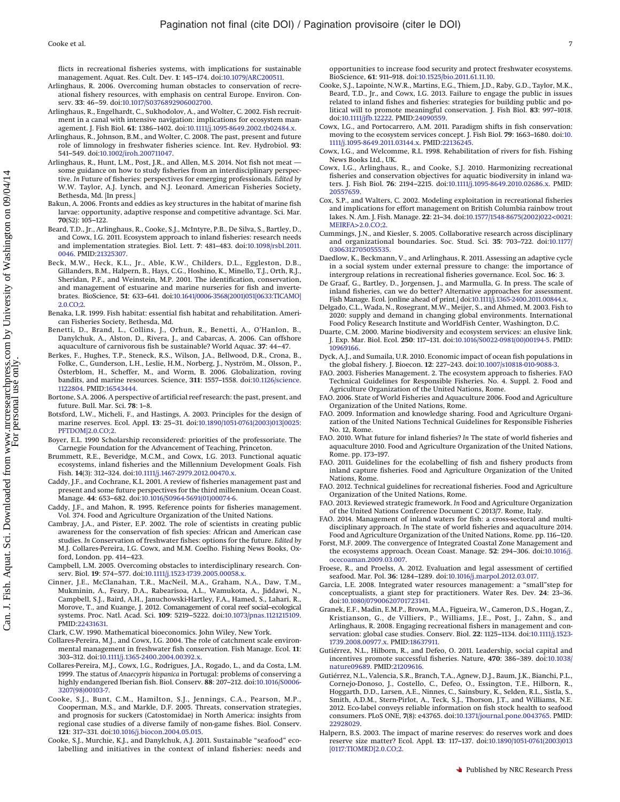flicts in recreational fisheries systems, with implications for sustainable management. Aquat. Res. Cult. Dev. **1**: 145–174. doi[:10.1079/ARC200511.](http://dx.doi.org/10.1079/ARC200511)

- <span id="page-6-19"></span>Arlinghaus, R. 2006. Overcoming human obstacles to conservation of recreational fishery resources, with emphasis on central Europe. Environ. Conserv. **33**: 46–59. doi[:10.1017/S0376892906002700.](http://dx.doi.org/10.1017/S0376892906002700)
- <span id="page-6-22"></span>Arlinghaus, R., Engelhardt, C., Sukhodolov, A., and Wolter, C. 2002. Fish recruitment in a canal with intensive navigation: implications for ecosystem management. J. Fish Biol. **61**: 1386–1402. doi[:10.1111/j.1095-8649.2002.tb02484.x.](http://dx.doi.org/10.1111/j.1095-8649.2002.tb02484.x)
- <span id="page-6-5"></span>Arlinghaus, R., Johnson, B.M., and Wolter, C. 2008. The past, present and future role of limnology in freshwater fisheries science. Int. Rev. Hydrobiol. **93**: 541–549. doi[:10.1002/iroh.200711047.](http://dx.doi.org/10.1002/iroh.200711047)
- <span id="page-6-3"></span>Arlinghaus, R., Hunt, L.M., Post, J.R., and Allen, M.S. 2014. Not fish not meat some guidance on how to study fisheries from an interdisciplinary perspective. *In* Future of fisheries: perspectives for emerging professionals. *Edited by* W.W. Taylor, A.J. Lynch, and N.J. Leonard. American Fisheries Society, Bethesda, Md. [In press.]
- <span id="page-6-9"></span>Bakun, A. 2006. Fronts and eddies as key structures in the habitat of marine fish larvae: opportunity, adaptive response and competitive advantage. Sci. Mar. **70**(S2): 105–122.
- <span id="page-6-41"></span>Beard, T.D., Jr., Arlinghaus, R., Cooke, S.J., McIntyre, P.B., De Silva, S., Bartley, D., and Cowx, I.G. 2011. Ecosystem approach to inland fisheries: research needs and implementation strategies. Biol. Lett. **7**: 481–483. doi[:10.1098/rsbl.2011.](http://dx.doi.org/10.1098/rsbl.2011.0046) [0046.](http://dx.doi.org/10.1098/rsbl.2011.0046) PMID[:21325307.](http://www.ncbi.nlm.nih.gov/pubmed/21325307)
- <span id="page-6-7"></span>Beck, M.W., Heck, K.L., Jr., Able, K.W., Childers, D.L., Eggleston, D.B., Gillanders, B.M., Halpern, B., Hays, C.G., Hoshino, K., Minello, T.J., Orth, R.J., Sheridan, P.F., and Weinstein, M.P. 2001. The identification, conservation, and management of estuarine and marine nurseries for fish and invertebrates. BioScience, **51**: 633–641. doi[:10.1641/0006-3568\(2001\)051\[0633:TICAMO\]](http://dx.doi.org/10.1641/0006-3568(2001)051%5B0633%3ATICAMO%5D2.0.CO;2) [2.0.CO;2.](http://dx.doi.org/10.1641/0006-3568(2001)051%5B0633%3ATICAMO%5D2.0.CO;2)
- <span id="page-6-10"></span>Benaka, L.R. 1999. Fish habitat: essential fish habitat and rehabilitation. American Fisheries Society, Bethesda, Md.
- <span id="page-6-29"></span>Benetti, D., Brand, L., Collins, J., Orhun, R., Benetti, A., O'Hanlon, B., Danylchuk, A., Alston, D., Rivera, J., and Cabarcas, A. 2006. Can offshore aquaculture of carnivorous fish be sustainable? World Aquac. **37**: 44–47.
- <span id="page-6-14"></span>Berkes, F., Hughes, T.P., Steneck, R.S., Wilson, J.A., Bellwood, D.R., Crona, B., Folke, C., Gunderson, L.H., Leslie, H.M., Norberg, J., Nyström, M., Olsson, P., Österblom, H., Scheffer, M., and Worm, B. 2006. Globalization, roving bandits, and marine resources. Science, **311**: 1557–1558. doi[:10.1126/science.](http://dx.doi.org/10.1126/science.1122804) [1122804.](http://dx.doi.org/10.1126/science.1122804) PMID[:16543444.](http://www.ncbi.nlm.nih.gov/pubmed/16543444)
- <span id="page-6-8"></span>Bortone, S.A. 2006. A perspective of artificial reef research: the past, present, and future. Bull. Mar. Sci. **78**: 1–8.
- <span id="page-6-18"></span>Botsford, L.W., Micheli, F., and Hastings, A. 2003. Principles for the design of marine reserves. Ecol. Appl. **13**: 25–31. doi[:10.1890/1051-0761\(2003\)013\[0025:](http://dx.doi.org/10.1890/1051-0761(2003)013%5B0025%3APFTDOM%5D2.0.CO;2) [PFTDOM\]2.0.CO;2.](http://dx.doi.org/10.1890/1051-0761(2003)013%5B0025%3APFTDOM%5D2.0.CO;2)
- <span id="page-6-1"></span>Boyer, E.L. 1990 Scholarship reconsidered: priorities of the professoriate. The Carnegie Foundation for the Advancement of Teaching, Princeton.
- <span id="page-6-42"></span>Brummett, R.E., Beveridge, M.C.M., and Cowx, I.G. 2013. Functional aquatic ecosystems, inland fisheries and the Millennium Development Goals. Fish Fish. **14**(3): 312–324. doi[:10.1111/j.1467-2979.2012.00470.x.](http://dx.doi.org/10.1111/j.1467-2979.2012.00470.x)
- <span id="page-6-25"></span>Caddy, J.F., and Cochrane, K.L. 2001. A review of fisheries management past and present and some future perspectives for the third millennium. Ocean Coast. Manage. **44**: 653–682. doi[:10.1016/S0964-5691\(01\)00074-6.](http://dx.doi.org/10.1016/S0964-5691(01)00074-6)
- <span id="page-6-24"></span>Caddy, J.F., and Mahon, R. 1995. Reference points for fisheries management. Vol. 374. Food and Agriculture Organization of the United Nations.
- <span id="page-6-49"></span>Cambray, J.A., and Pister, E.P. 2002. The role of scientists in creating public awareness for the conservation of fish species: African and American case studies. *In* Conservation of freshwater fishes: options for the future. *Edited by* M.J. Collares-Pereira, I.G. Cowx, and M.M. Coelho. Fishing News Books, Oxford, London. pp. 414–423.
- <span id="page-6-2"></span>Campbell, L.M. 2005. Overcoming obstacles to interdisciplinary research. Conserv. Biol. **19**: 574–577. doi[:10.1111/j.1523-1739.2005.00058.x.](http://dx.doi.org/10.1111/j.1523-1739.2005.00058.x)
- <span id="page-6-13"></span>Cinner, J.E., McClanahan, T.R., MacNeil, M.A., Graham, N.A., Daw, T.M., Mukminin, A., Feary, D.A., Rabearisoa, A.L., Wamukota, A., Jiddawi, N., Campbell, S.J., Baird, A.H., Januchowski-Hartley, F.A., Hamed, S., Lahari, R., Morove, T., and Kuange, J. 2012. Comanagement of coral reef social–ecological systems. Proc. Natl. Acad. Sci. **109**: 5219–5222. doi[:10.1073/pnas.1121215109.](http://dx.doi.org/10.1073/pnas.1121215109) PMID[:22431631.](http://www.ncbi.nlm.nih.gov/pubmed/22431631)
- <span id="page-6-27"></span><span id="page-6-11"></span>Clark, C.W. 1990. Mathematical bioeconomics. John Wiley, New York.
- Collares-Pereira, M.J., and Cowx, I.G. 2004. The role of catchment scale environmental management in freshwater fish conservation. Fish Manage. Ecol. **11**: 303–312. doi[:10.1111/j.1365-2400.2004.00392.x.](http://dx.doi.org/10.1111/j.1365-2400.2004.00392.x)
- <span id="page-6-47"></span>Collares-Pereira, M.J., Cowx, I.G., Rodrigues, J.A., Rogado, L., and da Costa, L.M. 1999. The status of *Anaecypris hispanica* in Portugal: problems of conserving a highly endangered Iberian fish. Biol. Conserv. **88**: 207–212. doi[:10.1016/S0006-](http://dx.doi.org/10.1016/S0006-3207(98)00103-7) [3207\(98\)00103-7.](http://dx.doi.org/10.1016/S0006-3207(98)00103-7)
- <span id="page-6-48"></span>Cooke, S.J., Bunt, C.M., Hamilton, S.J., Jennings, C.A., Pearson, M.P., Cooperman, M.S., and Markle, D.F. 2005. Threats, conservation strategies, and prognosis for suckers (Catostomidae) in North America: insights from regional case studies of a diverse family of non-game fishes. Biol. Conserv. **121**: 317–331. doi[:10.1016/j.biocon.2004.05.015.](http://dx.doi.org/10.1016/j.biocon.2004.05.015)
- <span id="page-6-38"></span>Cooke, S.J., Murchie, K.J., and Danylchuk, A.J. 2011. Sustainable "seafood" ecolabelling and initiatives in the context of inland fisheries: needs and

opportunities to increase food security and protect freshwater ecosystems. BioScience, **61**: 911–918. doi[:10.1525/bio.2011.61.11.10.](http://dx.doi.org/10.1525/bio.2011.61.11.10)

- <span id="page-6-35"></span>Cooke, S.J., Lapointe, N.W.R., Martins, E.G., Thiem, J.D., Raby, G.D., Taylor, M.K., Beard, T.D., Jr., and Cowx, I.G. 2013. Failure to engage the public in issues related to inland fishes and fisheries: strategies for building public and political will to promote meaningful conservation. J. Fish Biol. **83**: 997–1018. doi[:10.1111/jfb.12222.](http://dx.doi.org/10.1111/jfb.12222) PMID[:24090559.](http://www.ncbi.nlm.nih.gov/pubmed/24090559)
- <span id="page-6-23"></span>Cowx, I.G., and Portocarrero, A.M. 2011. Paradigm shifts in fish conservation: moving to the ecosystem services concept. J. Fish Biol. **79**: 1663–1680. doi[:10.](http://dx.doi.org/10.1111/j.1095-8649.2011.03144.x) [1111/j.1095-8649.2011.03144.x.](http://dx.doi.org/10.1111/j.1095-8649.2011.03144.x) PMID[:22136245.](http://www.ncbi.nlm.nih.gov/pubmed/22136245)
- <span id="page-6-6"></span>Cowx, I.G., and Welcomme, R.L. 1998. Rehabilitation of rivers for fish. Fishing News Books Ltd., UK.
- <span id="page-6-26"></span>Cowx, I.G., Arlinghaus, R., and Cooke, S.J. 2010. Harmonizing recreational fisheries and conservation objectives for aquatic biodiversity in inland waters. J. Fish Biol. **76**: 2194–2215. doi[:10.1111/j.1095-8649.2010.02686.x.](http://dx.doi.org/10.1111/j.1095-8649.2010.02686.x) PMID: [20557659.](http://www.ncbi.nlm.nih.gov/pubmed/20557659)
- <span id="page-6-16"></span>Cox, S.P., and Walters, C. 2002. Modeling exploitation in recreational fisheries and implications for effort management on British Columbia rainbow trout lakes. N. Am. J. Fish. Manage. **22**: 21–34. doi[:10.1577/1548-8675\(2002\)022<0021:](http://dx.doi.org/10.1577/1548-8675(2002)022%3C0021%3AMEIRFA%3E2.0.CO;2) [MEIRFA>2.0.CO;2.](http://dx.doi.org/10.1577/1548-8675(2002)022%3C0021%3AMEIRFA%3E2.0.CO;2)
- <span id="page-6-0"></span>Cummings, J.N., and Kiesler, S. 2005. Collaborative research across disciplinary and organizational boundaries. Soc. Stud. Sci. **35**: 703–722. doi[:10.1177/](http://dx.doi.org/10.1177/0306312705055535) [0306312705055535.](http://dx.doi.org/10.1177/0306312705055535)
- <span id="page-6-15"></span>Daedlow, K., Beckmann, V., and Arlinghaus, R. 2011. Assessing an adaptive cycle in a social system under external pressure to change: the importance of intergroup relations in recreational fisheries governance. Ecol. Soc. **16**: 3.
- <span id="page-6-43"></span>De Graaf, G., Bartley, D., Jorgensen, J., and Marmulla, G. In press. The scale of inland fisheries, can we do better? Alternative approaches for assessment. Fish Manage. Ecol. [online ahead of print.] doi[:10.1111/j.1365-2400.2011.00844.x.](http://dx.doi.org/10.1111/j.1365-2400.2011.00844.x)
- <span id="page-6-36"></span>Delgado, C.L., Wada, N., Rosegrant, M.W., Meijer, S., and Ahmed, M. 2003. Fish to 2020: supply and demand in changing global environments. International Food Policy Research Institute and WorldFish Center, Washington, D.C.
- <span id="page-6-34"></span>Duarte, C.M. 2000. Marine biodiversity and ecosystem services: an elusive link. J. Exp. Mar. Biol. Ecol. **250**: 117–131. doi[:10.1016/S0022-0981\(00\)00194-5.](http://dx.doi.org/10.1016/S0022-0981(00)00194-5) PMID: [10969166.](http://www.ncbi.nlm.nih.gov/pubmed/10969166)
- <span id="page-6-44"></span>Dyck, A.J., and Sumaila, U.R. 2010. Economic impact of ocean fish populations in the global fishery. J. Bioecon. **12**: 227–243. doi[:10.1007/s10818-010-9088-3.](http://dx.doi.org/10.1007/s10818-010-9088-3)
- <span id="page-6-30"></span>FAO. 2003. Fisheries Management. 2. The ecosystem approach to fisheries. FAO Technical Guidelines for Responsible Fisheries. No. 4. Suppl. 2. Food and Agriculture Organization of the United Nations, Rome.
- <span id="page-6-28"></span>FAO. 2006. State of World Fisheries and Aquaculture 2006. Food and Agriculture Organization of the United Nations, Rome.
- <span id="page-6-45"></span>FAO. 2009. Information and knowledge sharing. Food and Agriculture Organization of the United Nations Technical Guidelines for Responsible Fisheries No. 12, Rome.
- <span id="page-6-21"></span>FAO. 2010. What future for inland fisheries? *In* The state of world fisheries and aquaculture 2010. Food and Agriculture Organization of the United Nations, Rome. pp. 173–197.
- <span id="page-6-39"></span>FAO. 2011. Guidelines for the ecolabelling of fish and fishery products from inland capture fisheries. Food and Agriculture Organization of the United Nations, Rome.
- <span id="page-6-20"></span>FAO. 2012. Technical guidelines for recreational fisheries. Food and Agriculture Organization of the United Nations, Rome.
- <span id="page-6-4"></span>FAO. 2013. Reviewed strategic framework. *In* Food and Agriculture Organization of the United Nations Conference Document C 2013/7. Rome, Italy.
- <span id="page-6-33"></span>FAO. 2014. Management of inland waters for fish: a cross-sectoral and multidisciplinary approach. *In* The state of world fisheries and aquaculture 2014. Food and Agriculture Organization of the United Nations, Rome. pp. 116–120.
- <span id="page-6-31"></span>Forst, M.F. 2009. The convergence of Integrated Coastal Zone Management and the ecosystems approach. Ocean Coast. Manage. **52**: 294–306. doi[:10.1016/j.](http://dx.doi.org/10.1016/j.ocecoaman.2009.03.007) [ocecoaman.2009.03.007.](http://dx.doi.org/10.1016/j.ocecoaman.2009.03.007)
- <span id="page-6-40"></span>Froese, R., and Proelss, A. 2012. Evaluation and legal assessment of certified seafood. Mar. Pol. **36**: 1284–1289. doi[:10.1016/j.marpol.2012.03.017.](http://dx.doi.org/10.1016/j.marpol.2012.03.017)
- <span id="page-6-32"></span>Garcia, L.E. 2008. Integrated water resources management: a "small"step for conceptualists, a giant step for practitioners. Water Res. Dev. **24**: 23–36. doi[:10.1080/07900620701723141.](http://dx.doi.org/10.1080/07900620701723141)
- <span id="page-6-46"></span>Granek, E.F., Madin, E.M.P., Brown, M.A., Figueira, W., Cameron, D.S., Hogan, Z., Kristianson, G., de Villiers, P., Williams, J.E., Post, J., Zahn, S., and Arlinghaus, R. 2008. Engaging recreational fishers in management and con-servation: global case studies. Conserv. Biol. **22**: 1125–1134. doi[:10.1111/j.1523-](http://dx.doi.org/10.1111/j.1523-1739.2008.00977.x) [1739.2008.00977.x.](http://dx.doi.org/10.1111/j.1523-1739.2008.00977.x) PMID[:18637911.](http://www.ncbi.nlm.nih.gov/pubmed/18637911)
- <span id="page-6-12"></span>Gutiérrez, N.L., Hilborn, R., and Defeo, O. 2011. Leadership, social capital and incentives promote successful fisheries. Nature, **470**: 386–389. doi[:10.1038/](http://dx.doi.org/10.1038/nature09689) [nature09689.](http://dx.doi.org/10.1038/nature09689) PMID[:21209616.](http://www.ncbi.nlm.nih.gov/pubmed/21209616)
- <span id="page-6-37"></span>Gutiérrez, N.L., Valencia, S.R., Branch, T.A., Agnew, D.J., Baum, J.K., Bianchi, P.L., Cornejo-Donoso, J., Costello, C., Defeo, O., Essington, T.E., Hilborn, R., Hoggarth, D.D., Larsen, A.E., Ninnes, C., Sainsbury, K., Selden, R.L., Sistla, S., Smith, A.D.M., Stern-Pirlot, A., Teck, S.J., Thorson, J.T., and Williams, N.E. 2012. Eco-label conveys reliable information on fish stock health to seafood consumers. PLoS ONE, **7**(8): e43765. doi[:10.1371/journal.pone.0043765.](http://dx.doi.org/10.1371/journal.pone.0043765) PMID: [22928029.](http://www.ncbi.nlm.nih.gov/pubmed/22928029)
- <span id="page-6-17"></span>Halpern, B.S. 2003. The impact of marine reserves: do reserves work and does reserve size matter? Ecol. Appl. **13**: 117–137. doi[:10.1890/1051-0761\(2003\)013](http://dx.doi.org/10.1890/1051-0761(2003)013%5B0117%3ATIOMRD%5D2.0.CO;2) [\[0117:TIOMRD\]2.0.CO;2.](http://dx.doi.org/10.1890/1051-0761(2003)013%5B0117%3ATIOMRD%5D2.0.CO;2)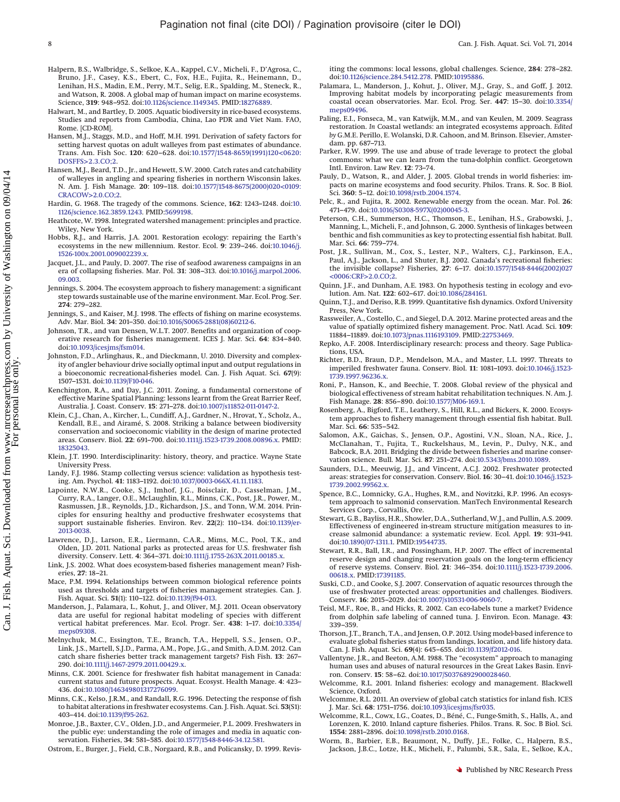- <span id="page-7-35"></span>Halpern, B.S., Walbridge, S., Selkoe, K.A., Kappel, C.V., Micheli, F., D'Agrosa, C., Bruno, J.F., Casey, K.S., Ebert, C., Fox, H.E., Fujita, R., Heinemann, D., Lenihan, H.S., Madin, E.M., Perry, M.T., Selig, E.R., Spalding, M., Steneck, R., and Watson, R. 2008. A global map of human impact on marine ecosystems. Science, **319**: 948–952. doi[:10.1126/science.1149345.](http://dx.doi.org/10.1126/science.1149345) PMID[:18276889.](http://www.ncbi.nlm.nih.gov/pubmed/18276889)
- <span id="page-7-48"></span>Halwart, M., and Bartley, D. 2005. Aquatic biodiversity in rice-based ecosystems. Studies and reports from Cambodia, China, Lao PDR and Viet Nam. FAO, Rome. [CD-ROM].
- <span id="page-7-31"></span>Hansen, M.J., Staggs, M.D., and Hoff, M.H. 1991. Derivation of safety factors for setting harvest quotas on adult walleyes from past estimates of abundance. Trans. Am. Fish Soc. **120**: 620–628. doi[:10.1577/1548-8659\(1991\)120<0620:](http://dx.doi.org/10.1577/1548-8659(1991)120%3C0620%3ADOSFFS%3E2.3.CO;2) [DOSFFS>2.3.CO;2.](http://dx.doi.org/10.1577/1548-8659(1991)120%3C0620%3ADOSFFS%3E2.3.CO;2)
- <span id="page-7-32"></span>Hansen, M.J., Beard, T.D., Jr., and Hewett, S.W. 2000. Catch rates and catchability of walleyes in angling and spearing fisheries in northern Wisconsin lakes. N. Am. J. Fish Manage. **20**: 109–118. doi[:10.1577/1548-8675\(2000\)020<0109:](http://dx.doi.org/10.1577/1548-8675(2000)020%3C0109%3ACRACOW%3E2.0.CO;2) [CRACOW>2.0.CO;2.](http://dx.doi.org/10.1577/1548-8675(2000)020%3C0109%3ACRACOW%3E2.0.CO;2)
- <span id="page-7-17"></span>Hardin, G. 1968. The tragedy of the commons. Science, **162**: 1243–1248. doi[:10.](http://dx.doi.org/10.1126/science.162.3859.1243) [1126/science.162.3859.1243.](http://dx.doi.org/10.1126/science.162.3859.1243) PMID[:5699198.](http://www.ncbi.nlm.nih.gov/pubmed/5699198)
- <span id="page-7-39"></span>Heathcote, W. 1998. Integrated watershed management: principles and practice. Wiley, New York.
- <span id="page-7-16"></span>Hobbs, R.J., and Harris, J.A. 2001. Restoration ecology: repairing the Earth's ecosystems in the new millennium. Restor. Ecol. **9**: 239–246. doi[:10.1046/j.](http://dx.doi.org/10.1046/j.1526-100x.2001.009002239.x) [1526-100x.2001.009002239.x.](http://dx.doi.org/10.1046/j.1526-100x.2001.009002239.x)
- <span id="page-7-44"></span>Jacquet, J.L., and Pauly, D. 2007. The rise of seafood awareness campaigns in an era of collapsing fisheries. Mar. Pol. **31**: 308–313. doi[:10.1016/j.marpol.2006.](http://dx.doi.org/10.1016/j.marpol.2006.09.003) [09.003.](http://dx.doi.org/10.1016/j.marpol.2006.09.003)
- <span id="page-7-38"></span>Jennings, S. 2004. The ecosystem approach to fishery management: a significant step towards sustainable use of the marine environment. Mar. Ecol. Prog. Ser. **274**: 279–282.
- <span id="page-7-11"></span>Jennings, S., and Kaiser, M.J. 1998. The effects of fishing on marine ecosystems. Adv. Mar. Biol. **34**: 201–350. doi[:10.1016/S0065-2881\(08\)60212-6.](http://dx.doi.org/10.1016/S0065-2881(08)60212-6)
- <span id="page-7-51"></span>Johnson, T.R., and van Densen, W.L.T. 2007. Benefits and organization of cooperative research for fisheries management. ICES J. Mar. Sci. **64**: 834–840. doi[:10.1093/icesjms/fsm014.](http://dx.doi.org/10.1093/icesjms/fsm014)
- <span id="page-7-30"></span>Johnston, F.D., Arlinghaus, R., and Dieckmann, U. 2010. Diversity and complexity of angler behaviour drive socially optimal input and output regulations in a bioeconomic recreational-fisheries model. Can. J. Fish Aquat. Sci. **67**(9): 1507–1531. doi[:10.1139/F10-046.](http://dx.doi.org/10.1139/F10-046)
- <span id="page-7-24"></span>Kenchington, R.A., and Day, J.C. 2011. Zoning, a fundamental cornerstone of effective Marine Spatial Planning: lessons learnt from the Great Barrier Reef, Australia. J. Coast. Conserv. **15**: 271–278. doi[:10.1007/s11852-011-0147-2.](http://dx.doi.org/10.1007/s11852-011-0147-2)
- <span id="page-7-23"></span>Klein, C.J., Chan, A., Kircher, L., Cundiff, A.J., Gardner, N., Hrovat, Y., Scholz, A., Kendall, B.E., and Airamé, S. 2008. Striking a balance between biodiversity conservation and socioeconomic viability in the design of marine protected areas. Conserv. Biol. **22**: 691–700. doi[:10.1111/j.1523-1739.2008.00896.x.](http://dx.doi.org/10.1111/j.1523-1739.2008.00896.x) PMID: [18325043.](http://www.ncbi.nlm.nih.gov/pubmed/18325043)
- <span id="page-7-2"></span>Klein, J.T. 1990. Interdisciplinarity: history, theory, and practice. Wayne State University Press.
- <span id="page-7-1"></span>Landy, F.J. 1986. Stamp collecting versus science: validation as hypothesis testing. Am. Psychol. **41**: 1183–1192. doi[:10.1037/0003-066X.41.11.1183.](http://dx.doi.org/10.1037/0003-066X.41.11.1183)
- <span id="page-7-4"></span>Lapointe, N.W.R., Cooke, S.J., Imhof, J.G., Boisclair, D., Casselman, J.M., Curry, R.A., Langer, O.E., McLaughlin, R.L., Minns, C.K., Post, J.R., Power, M., Rasmussen, J.B., Reynolds, J.D., Richardson, J.S., and Tonn, W.M. 2014. Principles for ensuring healthy and productive freshwater ecosystems that support sustainable fisheries. Environ. Rev. **22**(2): 110–134. doi[:10.1139/er-](http://dx.doi.org/10.1139/er-2013-0038)[2013-0038.](http://dx.doi.org/10.1139/er-2013-0038)
- <span id="page-7-27"></span>Lawrence, D.J., Larson, E.R., Liermann, C.A.R., Mims, M.C., Pool, T.K., and Olden, J.D. 2011. National parks as protected areas for U.S. freshwater fish diversity. Conserv. Lett. **4**: 364–371. doi[:10.1111/j.1755-263X.2011.00185.x.](http://dx.doi.org/10.1111/j.1755-263X.2011.00185.x)
- <span id="page-7-37"></span>Link, J.S. 2002. What does ecosystem-based fisheries management mean? Fisheries, **27**: 18–21.
- <span id="page-7-33"></span>Mace, P.M. 1994. Relationships between common biological reference points used as thresholds and targets of fisheries management strategies. Can. J. Fish. Aquat. Sci. **51**(1): 110–122. doi[:10.1139/f94-013.](http://dx.doi.org/10.1139/f94-013)
- <span id="page-7-12"></span>Manderson, J., Palamara, L., Kohut, J., and Oliver, M.J. 2011. Ocean observatory data are useful for regional habitat modeling of species with different vertical habitat preferences. Mar. Ecol. Progr. Ser. **438**: 1–17. doi[:10.3354/](http://dx.doi.org/10.3354/meps09308) [meps09308.](http://dx.doi.org/10.3354/meps09308)
- <span id="page-7-20"></span>Melnychuk, M.C., Essington, T.E., Branch, T.A., Heppell, S.S., Jensen, O.P., Link, J.S., Martell, S.J.D., Parma, A.M., Pope, J.G., and Smith, A.D.M. 2012. Can catch share fisheries better track management targets? Fish Fish. **13**: 267– 290. doi[:10.1111/j.1467-2979.2011.00429.x.](http://dx.doi.org/10.1111/j.1467-2979.2011.00429.x)
- <span id="page-7-6"></span>Minns, C.K. 2001. Science for freshwater fish habitat management in Canada: current status and future prospects. Aquat. Ecosyst. Health Manage. **4**: 423– 436. doi[:10.1080/146349801317276099.](http://dx.doi.org/10.1080/146349801317276099)
- <span id="page-7-5"></span>Minns, C.K., Kelso, J.R.M., and Randall, R.G. 1996. Detecting the response of fish to habitat alterations in freshwater ecosystems. Can. J. Fish. Aquat. Sci. **53**(S1): 403–414. doi[:10.1139/f95-262.](http://dx.doi.org/10.1139/f95-262)
- <span id="page-7-50"></span>Monroe, J.B., Baxter, C.V., Olden, J.D., and Angermeier, P.L. 2009. Freshwaters in the public eye: understanding the role of images and media in aquatic conservation. Fisheries, **34**: 581–585. doi[:10.1577/1548-8446-34.12.581.](http://dx.doi.org/10.1577/1548-8446-34.12.581)

<span id="page-7-18"></span>Ostrom, E., Burger, J., Field, C.B., Norgaard, R.B., and Policansky, D. 1999. Revis-

iting the commons: local lessons, global challenges. Science, **284**: 278–282. doi[:10.1126/science.284.5412.278.](http://dx.doi.org/10.1126/science.284.5412.278) PMID[:10195886.](http://www.ncbi.nlm.nih.gov/pubmed/10195886)

- <span id="page-7-13"></span>Palamara, L., Manderson, J., Kohut, J., Oliver, M.J., Gray, S., and Goff, J. 2012. Improving habitat models by incorporating pelagic measurements from coastal ocean observatories. Mar. Ecol. Prog. Ser. **447**: 15–30. doi[:10.3354/](http://dx.doi.org/10.3354/meps09496) [meps09496.](http://dx.doi.org/10.3354/meps09496)
- <span id="page-7-14"></span>Paling, E.I., Fonseca, M., van Katwijk, M.M., and van Keulen, M. 2009. Seagrass restoration. *In* Coastal wetlands: an integrated ecosystems approach. *Edited by* G.M.E. Perillo, E. Wolanski, D.R. Cahoon, and M. Brinson. Elsevier, Amsterdam. pp. 687–713.
- <span id="page-7-45"></span>Parker, R.W. 1999. The use and abuse of trade leverage to protect the global commons: what we can learn from the tuna-dolphin conflict. Georgetown Intl. Environ. Law Rev. **12**: 73–74.
- <span id="page-7-49"></span>Pauly, D., Watson, R., and Alder, J. 2005. Global trends in world fisheries: impacts on marine ecosystems and food security. Philos. Trans. R. Soc. B Biol. Sci. **360**: 5–12. doi[:10.1098/rstb.2004.1574.](http://dx.doi.org/10.1098/rstb.2004.1574)
- <span id="page-7-36"></span>Pelc, R., and Fujita, R. 2002. Renewable energy from the ocean. Mar. Pol. **26**: 471–479. doi[:10.1016/S0308-597X\(02\)00045-3.](http://dx.doi.org/10.1016/S0308-597X(02)00045-3)
- <span id="page-7-9"></span>Peterson, C.H., Summerson, H.C., Thomson, E., Lenihan, H.S., Grabowski, J., Manning, L., Micheli, F., and Johnson, G. 2000. Synthesis of linkages between benthic and fish communities as key to protecting essential fish habitat. Bull. Mar. Sci. **66**: 759–774.
- <span id="page-7-19"></span>Post, J.R., Sullivan, M., Cox, S., Lester, N.P., Walters, C.J., Parkinson, E.A., Paul, A.J., Jackson, L., and Shuter, B.J. 2002. Canada's recreational fisheries: the invisible collapse? Fisheries, **27**: 6–17. doi[:10.1577/1548-8446\(2002\)027](http://dx.doi.org/10.1577/1548-8446(2002)027%3C0006%3ACRF%3E2.0.CO;2) [<0006:CRF>2.0.CO;2.](http://dx.doi.org/10.1577/1548-8446(2002)027%3C0006%3ACRF%3E2.0.CO;2)
- <span id="page-7-0"></span>Quinn, J.F., and Dunham, A.E. 1983. On hypothesis testing in ecology and evolution. Am. Nat. **122**: 602–617. doi[:10.1086/284161.](http://dx.doi.org/10.1086/284161)
- <span id="page-7-28"></span>Quinn, T.J., and Deriso, R.B. 1999. Quantitative fish dynamics. Oxford University Press, New York.
- <span id="page-7-22"></span>Rassweiler, A., Costello, C., and Siegel, D.A. 2012. Marine protected areas and the value of spatially optimized fishery management. Proc. Natl. Acad. Sci. **109**: 11884–11889. doi[:10.1073/pnas.1116193109.](http://dx.doi.org/10.1073/pnas.1116193109) PMID[:22753469.](http://www.ncbi.nlm.nih.gov/pubmed/22753469)
- <span id="page-7-3"></span>Repko, A.F. 2008. Interdisciplinary research: process and theory. Sage Publications, USA.
- <span id="page-7-34"></span>Richter, B.D., Braun, D.P., Mendelson, M.A., and Master, L.L. 1997. Threats to imperiled freshwater fauna. Conserv. Biol. **11**: 1081–1093. doi[:10.1046/j.1523-](http://dx.doi.org/10.1046/j.1523-1739.1997.96236.x) [1739.1997.96236.x.](http://dx.doi.org/10.1046/j.1523-1739.1997.96236.x)
- <span id="page-7-7"></span>Roni, P., Hanson, K., and Beechie, T. 2008. Global review of the physical and biological effectiveness of stream habitat rehabilitation techniques. N. Am. J. Fish Manage. **28**: 856–890. doi[:10.1577/M06-169.1.](http://dx.doi.org/10.1577/M06-169.1)
- <span id="page-7-10"></span>Rosenberg, A., Bigford, T.E., Leathery, S., Hill, R.L., and Bickers, K. 2000. Ecosystem approaches to fishery management through essential fish habitat. Bull. Mar. Sci. **66**: 535–542.
- <span id="page-7-52"></span>Salomon, A.K., Gaichas, S., Jensen, O.P., Agostini, V.N., Sloan, N.A., Rice, J., McClanahan, T., Fujita, T., Ruckelshaus, M., Levin, P., Dulvy, N.K., and Babcock, B.A. 2011. Bridging the divide between fisheries and marine conservation science. Bull. Mar. Sci. **87**: 251–274. doi[:10.5343/bms.2010.1089.](http://dx.doi.org/10.5343/bms.2010.1089)
- <span id="page-7-26"></span>Saunders, D.L., Meeuwig, J.J., and Vincent, A.C.J. 2002. Freshwater protected areas: strategies for conservation. Conserv. Biol. **16**: 30–41. doi[:10.1046/j.1523-](http://dx.doi.org/10.1046/j.1523-1739.2002.99562.x) [1739.2002.99562.x.](http://dx.doi.org/10.1046/j.1523-1739.2002.99562.x)
- <span id="page-7-40"></span>Spence, B.C., Lomnicky, G.A., Hughes, R.M., and Novitzki, R.P. 1996. An ecosystem approach to salmonid conservation. ManTech Environmental Research Services Corp., Corvallis, Ore.
- <span id="page-7-15"></span>Stewart, G.B., Bayliss, H.R., Showler, D.A., Sutherland, W.J., and Pullin, A.S. 2009. Effectiveness of engineered in-stream structure mitigation measures to increase salmonid abundance: a systematic review. Ecol. Appl. **19**: 931–941. doi[:10.1890/07-1311.1.](http://dx.doi.org/10.1890/07-1311.1) PMID[:19544735.](http://www.ncbi.nlm.nih.gov/pubmed/19544735)
- <span id="page-7-21"></span>Stewart, R.R., Ball, I.R., and Possingham, H.P. 2007. The effect of incremental reserve design and changing reservation goals on the long-term efficiency of reserve systems. Conserv. Biol. **21**: 346–354. doi[:10.1111/j.1523-1739.2006.](http://dx.doi.org/10.1111/j.1523-1739.2006.00618.x) [00618.x.](http://dx.doi.org/10.1111/j.1523-1739.2006.00618.x) PMID[:17391185.](http://www.ncbi.nlm.nih.gov/pubmed/17391185)
- <span id="page-7-25"></span>Suski, C.D., and Cooke, S.J. 2007. Conservation of aquatic resources through the use of freshwater protected areas: opportunities and challenges. Biodivers. Conserv. **16**: 2015–2029. doi[:10.1007/s10531-006-9060-7.](http://dx.doi.org/10.1007/s10531-006-9060-7)
- <span id="page-7-43"></span>Teisl, M.F., Roe, B., and Hicks, R. 2002. Can eco-labels tune a market? Evidence from dolphin safe labeling of canned tuna. J. Environ. Econ. Manage. **43**: 339–359.
- <span id="page-7-29"></span>Thorson, J.T., Branch, T.A., and Jensen, O.P. 2012. Using model-based inference to evaluate global fisheries status from landings, location, and life history data. Can. J. Fish. Aquat. Sci. **69**(4): 645–655. doi[:10.1139/f2012-016.](http://dx.doi.org/10.1139/f2012-016)
- <span id="page-7-41"></span>Vallentyne, J.R., and Beeton, A.M. 1988. The "ecosystem" approach to managing human uses and abuses of natural resources in the Great Lakes Basin. Environ. Conserv. **15**: 58–62. doi[:10.1017/S0376892900028460.](http://dx.doi.org/10.1017/S0376892900028460)
- <span id="page-7-8"></span>Welcomme, R.L. 2001. Inland fisheries: ecology and management. Blackwell Science, Oxford.
- <span id="page-7-46"></span>Welcomme, R.L. 2011. An overview of global catch statistics for inland fish. ICES J. Mar. Sci. **68**: 1751–1756. doi[:10.1093/icesjms/fsr035.](http://dx.doi.org/10.1093/icesjms/fsr035)
- <span id="page-7-47"></span>Welcomme, R.L., Cowx, I.G., Coates, D., Béné, C., Funge-Smith, S., Halls, A., and Lorenzen, K. 2010. Inland capture fisheries. Philos. Trans. R. Soc. B Biol. Sci. **1554**: 2881–2896. doi[:10.1098/rstb.2010.0168.](http://dx.doi.org/10.1098/rstb.2010.0168)
- <span id="page-7-42"></span>Worm, B., Barbier, E.B., Beaumont, N., Duffy, J.E., Folke, C., Halpern, B.S., Jackson, J.B.C., Lotze, H.K., Micheli, F., Palumbi, S.R., Sala, E., Selkoe, K.A.,